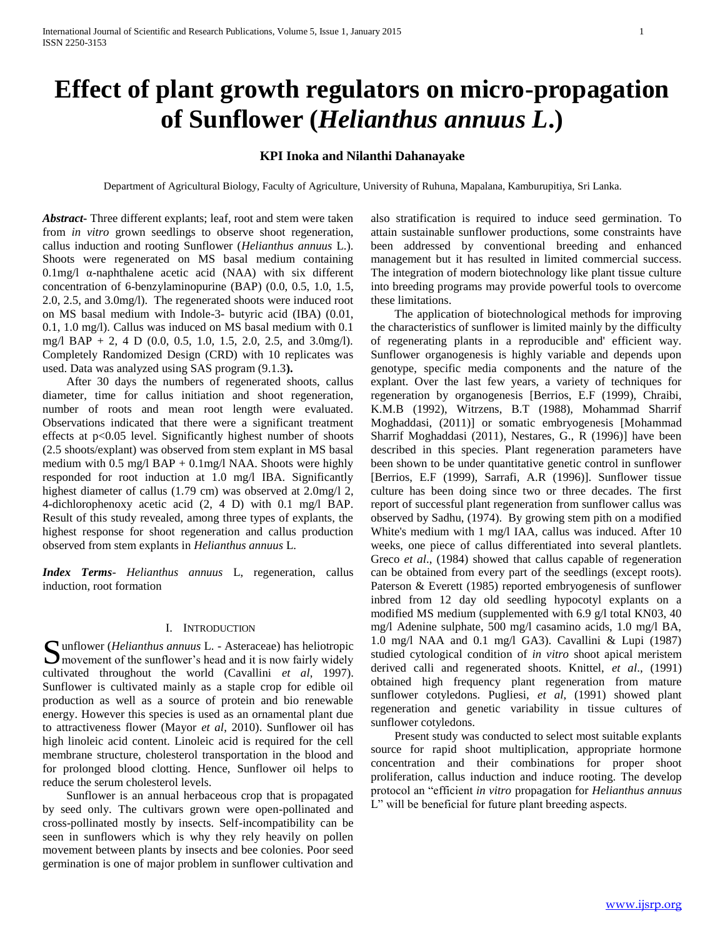# **Effect of plant growth regulators on micro-propagation of Sunflower (***Helianthus annuus L***.)**

# **KPI Inoka and Nilanthi Dahanayake**

Department of Agricultural Biology, Faculty of Agriculture, University of Ruhuna, Mapalana, Kamburupitiya, Sri Lanka.

*Abstract***-** Three different explants; leaf, root and stem were taken from *in vitro* grown seedlings to observe shoot regeneration, callus induction and rooting Sunflower (*Helianthus annuus* L.). Shoots were regenerated on MS basal medium containing 0.1mg/l α-naphthalene acetic acid (NAA) with six different concentration of 6-benzylaminopurine (BAP) (0.0, 0.5, 1.0, 1.5, 2.0, 2.5, and 3.0mg/l). The regenerated shoots were induced root on MS basal medium with Indole-3- butyric acid (IBA) (0.01, 0.1, 1.0 mg/l). Callus was induced on MS basal medium with 0.1 mg/l BAP  $+$  2, 4 D (0.0, 0.5, 1.0, 1.5, 2.0, 2.5, and 3.0mg/l). Completely Randomized Design (CRD) with 10 replicates was used. Data was analyzed using SAS program (9.1.3**).**

 After 30 days the numbers of regenerated shoots, callus diameter, time for callus initiation and shoot regeneration, number of roots and mean root length were evaluated. Observations indicated that there were a significant treatment effects at p<0.05 level. Significantly highest number of shoots (2.5 shoots/explant) was observed from stem explant in MS basal medium with  $0.5 \text{ mg/l}$  BAP +  $0.1 \text{mg/l}$  NAA. Shoots were highly responded for root induction at 1.0 mg/l IBA. Significantly highest diameter of callus (1.79 cm) was observed at 2.0mg/l 2, 4-dichlorophenoxy acetic acid (2, 4 D) with 0.1 mg/l BAP. Result of this study revealed, among three types of explants, the highest response for shoot regeneration and callus production observed from stem explants in *Helianthus annuus* L.

*Index Terms*- *Helianthus annuus* L, regeneration, callus induction, root formation

#### I. INTRODUCTION

Sunflower (*Helianthus annuus* L. - Asteraceae) has heliotropic<br>
Smovement of the sunflower's head and it is now fairly widely  $\sum$  movement of the sunflower's head and it is now fairly widely cultivated throughout the world (Cavallini *et al*, 1997). Sunflower is cultivated mainly as a staple crop for edible oil production as well as a source of protein and bio renewable energy. However this species is used as an ornamental plant due to attractiveness flower (Mayor *et al*, 2010). Sunflower oil has high linoleic acid content. Linoleic acid is required for the cell membrane structure, cholesterol transportation in the blood and for prolonged blood clotting. Hence, Sunflower oil helps to reduce the serum cholesterol levels.

 Sunflower is an annual herbaceous crop that is propagated by seed only. The cultivars grown were open-pollinated and cross-pollinated mostly by insects. Self-incompatibility can be seen in sunflowers which is why they rely heavily on pollen movement between plants by insects and bee colonies. Poor seed germination is one of major problem in sunflower cultivation and

also stratification is required to induce seed germination. To attain sustainable sunflower productions, some constraints have been addressed by conventional breeding and enhanced management but it has resulted in limited commercial success. The integration of modern biotechnology like plant tissue culture into breeding programs may provide powerful tools to overcome these limitations.

 The application of biotechnological methods for improving the characteristics of sunflower is limited mainly by the difficulty of regenerating plants in a reproducible and' efficient way. Sunflower organogenesis is highly variable and depends upon genotype, specific media components and the nature of the explant. Over the last few years, a variety of techniques for regeneration by organogenesis [Berrios, E.F (1999), Chraibi, K.M.B (1992), Witrzens, B.T (1988), Mohammad Sharrif Moghaddasi, (2011)] or somatic embryogenesis [Mohammad Sharrif Moghaddasi (2011), Nestares, G., R (1996)] have been described in this species. Plant regeneration parameters have been shown to be under quantitative genetic control in sunflower [Berrios, E.F (1999), Sarrafi, A.R (1996)]. Sunflower tissue culture has been doing since two or three decades. The first report of successful plant regeneration from sunflower callus was observed by Sadhu, (1974). By growing stem pith on a modified White's medium with 1 mg/l IAA, callus was induced. After 10 weeks, one piece of callus differentiated into several plantlets. Greco *et al*., (1984) showed that callus capable of regeneration can be obtained from every part of the seedlings (except roots). Paterson & Everett (1985) reported embryogenesis of sunflower inbred from 12 day old seedling hypocotyl explants on a modified MS medium (supplemented with 6.9 g/l total KN03, 40 mg/l Adenine sulphate, 500 mg/l casamino acids, 1.0 mg/l BA, 1.0 mg/l NAA and 0.1 mg/l GA3). Cavallini & Lupi (1987) studied cytological condition of *in vitro* shoot apical meristem derived calli and regenerated shoots. Knittel, *et al*., (1991) obtained high frequency plant regeneration from mature sunflower cotyledons. Pugliesi, *et al*, (1991) showed plant regeneration and genetic variability in tissue cultures of sunflower cotyledons.

 Present study was conducted to select most suitable explants source for rapid shoot multiplication, appropriate hormone concentration and their combinations for proper shoot proliferation, callus induction and induce rooting. The develop protocol an "efficient *in vitro* propagation for *Helianthus annuus* L" will be beneficial for future plant breeding aspects.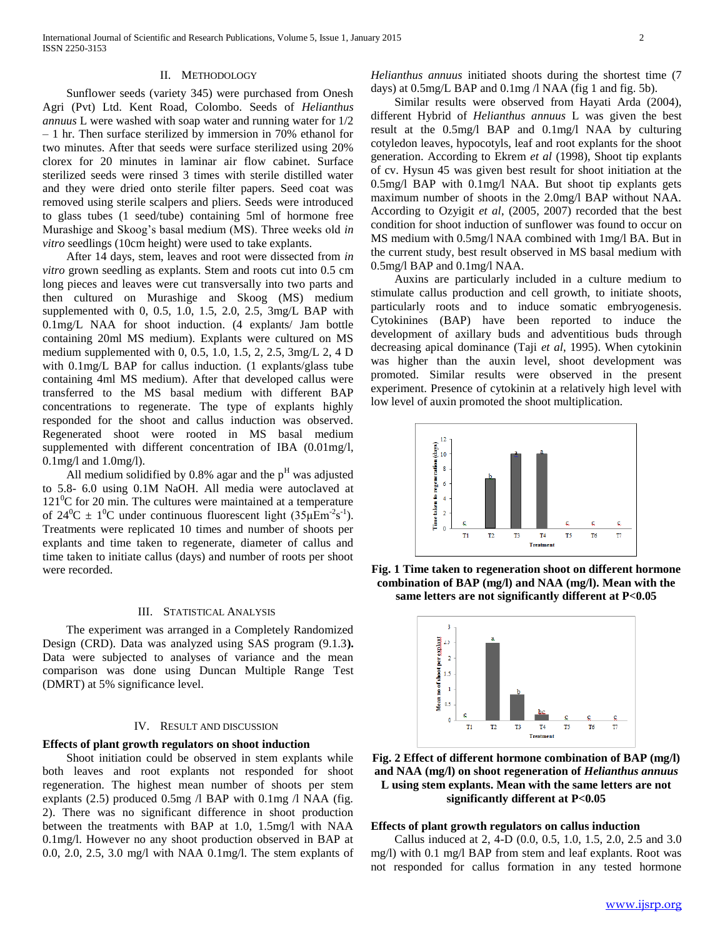#### II. METHODOLOGY

 Sunflower seeds (variety 345) were purchased from Onesh Agri (Pvt) Ltd. Kent Road, Colombo. Seeds of *Helianthus annuus* L were washed with soap water and running water for 1/2 – 1 hr. Then surface sterilized by immersion in 70% ethanol for two minutes. After that seeds were surface sterilized using 20% clorex for 20 minutes in laminar air flow cabinet. Surface sterilized seeds were rinsed 3 times with sterile distilled water and they were dried onto sterile filter papers. Seed coat was removed using sterile scalpers and pliers. Seeds were introduced to glass tubes (1 seed/tube) containing 5ml of hormone free Murashige and Skoog's basal medium (MS). Three weeks old *in vitro* seedlings (10cm height) were used to take explants.

 After 14 days, stem, leaves and root were dissected from *in vitro* grown seedling as explants. Stem and roots cut into 0.5 cm long pieces and leaves were cut transversally into two parts and then cultured on Murashige and Skoog (MS) medium supplemented with 0, 0.5, 1.0, 1.5, 2.0, 2.5, 3mg/L BAP with 0.1mg/L NAA for shoot induction. (4 explants/ Jam bottle containing 20ml MS medium). Explants were cultured on MS medium supplemented with 0, 0.5, 1.0, 1.5, 2, 2.5, 3mg/L 2, 4 D with 0.1mg/L BAP for callus induction. (1 explants/glass tube containing 4ml MS medium). After that developed callus were transferred to the MS basal medium with different BAP concentrations to regenerate. The type of explants highly responded for the shoot and callus induction was observed. Regenerated shoot were rooted in MS basal medium supplemented with different concentration of IBA (0.01mg/l, 0.1mg/l and 1.0mg/l).

All medium solidified by 0.8% agar and the  $p<sup>H</sup>$  was adjusted to 5.8- 6.0 using 0.1M NaOH. All media were autoclaved at  $121^{\circ}$ C for 20 min. The cultures were maintained at a temperature of  $24^0C \pm 1^0C$  under continuous fluorescent light  $(35\mu \text{Em}^2 \text{s}^{-1})$ . Treatments were replicated 10 times and number of shoots per explants and time taken to regenerate, diameter of callus and time taken to initiate callus (days) and number of roots per shoot were recorded.

# III. STATISTICAL ANALYSIS

 The experiment was arranged in a Completely Randomized Design (CRD). Data was analyzed using SAS program (9.1.3**).**  Data were subjected to analyses of variance and the mean comparison was done using Duncan Multiple Range Test (DMRT) at 5% significance level.

#### IV. RESULT AND DISCUSSION

#### **Effects of plant growth regulators on shoot induction**

 Shoot initiation could be observed in stem explants while both leaves and root explants not responded for shoot regeneration. The highest mean number of shoots per stem explants  $(2.5)$  produced 0.5mg  $\Lambda$  BAP with 0.1mg  $\Lambda$  NAA (fig. 2). There was no significant difference in shoot production between the treatments with BAP at 1.0, 1.5mg/l with NAA 0.1mg/l. However no any shoot production observed in BAP at 0.0, 2.0, 2.5, 3.0 mg/l with NAA 0.1mg/l. The stem explants of *Helianthus annuus* initiated shoots during the shortest time (7 days) at 0.5mg/L BAP and 0.1mg /l NAA (fig 1 and fig. 5b).

 Similar results were observed from Hayati Arda (2004), different Hybrid of *Helianthus annuus* L was given the best result at the 0.5mg/l BAP and 0.1mg/l NAA by culturing cotyledon leaves, hypocotyls, leaf and root explants for the shoot generation. According to Ekrem *et al* (1998), Shoot tip explants of cv. Hysun 45 was given best result for shoot initiation at the 0.5mg/l BAP with 0.1mg/l NAA. But shoot tip explants gets maximum number of shoots in the 2.0mg/l BAP without NAA. According to Ozyigit *et al*, (2005, 2007) recorded that the best condition for shoot induction of sunflower was found to occur on MS medium with 0.5mg/l NAA combined with 1mg/l BA. But in the current study, best result observed in MS basal medium with 0.5mg/l BAP and 0.1mg/l NAA.

 Auxins are particularly included in a culture medium to stimulate callus production and cell growth, to initiate shoots, particularly roots and to induce somatic embryogenesis. Cytokinines (BAP) have been reported to induce the development of axillary buds and adventitious buds through decreasing apical dominance (Taji *et al*, 1995). When cytokinin was higher than the auxin level, shoot development was promoted. Similar results were observed in the present experiment. Presence of cytokinin at a relatively high level with low level of auxin promoted the shoot multiplication.



**Fig. 1 Time taken to regeneration shoot on different hormone combination of BAP (mg/l) and NAA (mg/l). Mean with the same letters are not significantly different at P<0.05**



**Fig. 2 Effect of different hormone combination of BAP (mg/l) and NAA (mg/l) on shoot regeneration of** *Helianthus annuus*  **L using stem explants. Mean with the same letters are not significantly different at P<0.05**

## **Effects of plant growth regulators on callus induction**

 Callus induced at 2, 4-D (0.0, 0.5, 1.0, 1.5, 2.0, 2.5 and 3.0 mg/l) with 0.1 mg/l BAP from stem and leaf explants. Root was not responded for callus formation in any tested hormone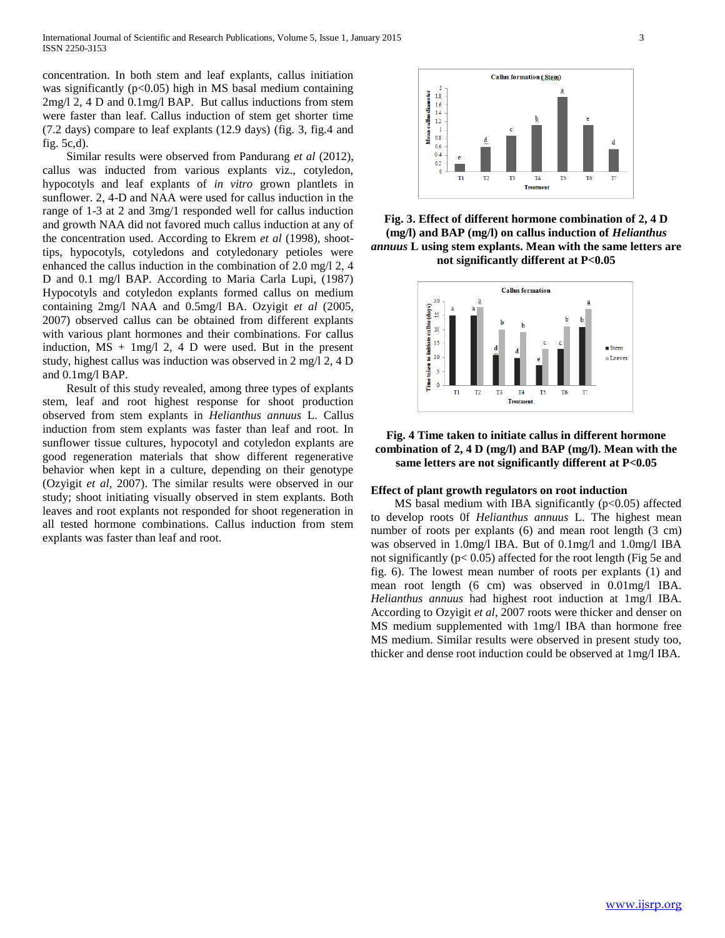concentration. In both stem and leaf explants, callus initiation was significantly ( $p<0.05$ ) high in MS basal medium containing 2mg/l 2, 4 D and 0.1mg/l BAP. But callus inductions from stem were faster than leaf. Callus induction of stem get shorter time (7.2 days) compare to leaf explants (12.9 days) (fig. 3, fig.4 and fig. 5c,d).

 Similar results were observed from Pandurang *et al* (2012), callus was inducted from various explants viz., cotyledon, hypocotyls and leaf explants of *in vitro* grown plantlets in sunflower. 2, 4-D and NAA were used for callus induction in the range of 1-3 at 2 and 3mg/1 responded well for callus induction and growth NAA did not favored much callus induction at any of the concentration used. According to Ekrem *et al* (1998), shoottips, hypocotyls, cotyledons and cotyledonary petioles were enhanced the callus induction in the combination of 2.0 mg/l 2, 4 D and 0.1 mg/l BAP. According to Maria Carla Lupi, (1987) Hypocotyls and cotyledon explants formed callus on medium containing 2mg/l NAA and 0.5mg/l BA. Ozyigit *et al* (2005, 2007) observed callus can be obtained from different explants with various plant hormones and their combinations. For callus induction,  $MS + 1mg/12$ , 4 D were used. But in the present study, highest callus was induction was observed in 2 mg/l 2, 4 D and 0.1mg/l BAP.

 Result of this study revealed, among three types of explants stem, leaf and root highest response for shoot production observed from stem explants in *Helianthus annuus* L. Callus induction from stem explants was faster than leaf and root. In sunflower tissue cultures, hypocotyl and cotyledon explants are good regeneration materials that show different regenerative behavior when kept in a culture, depending on their genotype (Ozyigit *et al*, 2007). The similar results were observed in our study; shoot initiating visually observed in stem explants. Both leaves and root explants not responded for shoot regeneration in all tested hormone combinations. Callus induction from stem explants was faster than leaf and root.



**Fig. 3. Effect of different hormone combination of 2, 4 D (mg/l) and BAP (mg/l) on callus induction of** *Helianthus annuus* **L using stem explants. Mean with the same letters are not significantly different at P<0.05**



# **Fig. 4 Time taken to initiate callus in different hormone combination of 2, 4 D (mg/l) and BAP (mg/l). Mean with the same letters are not significantly different at P<0.05**

## **Effect of plant growth regulators on root induction**

MS basal medium with IBA significantly  $(p<0.05)$  affected to develop roots 0f *Helianthus annuus* L. The highest mean number of roots per explants (6) and mean root length (3 cm) was observed in 1.0mg/l IBA. But of 0.1mg/l and 1.0mg/l IBA not significantly ( $p < 0.05$ ) affected for the root length (Fig 5e and fig. 6). The lowest mean number of roots per explants (1) and mean root length (6 cm) was observed in 0.01mg/l IBA. *Helianthus annuus* had highest root induction at 1mg/l IBA. According to Ozyigit *et al*, 2007 roots were thicker and denser on MS medium supplemented with 1mg/l IBA than hormone free MS medium. Similar results were observed in present study too, thicker and dense root induction could be observed at 1mg/l IBA.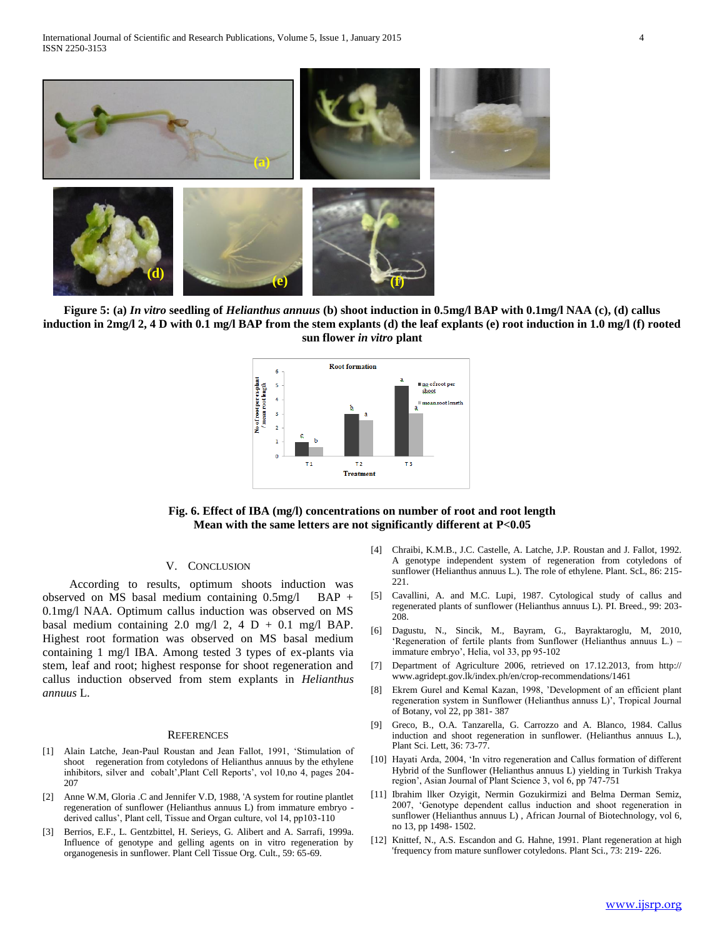

**Figure 5: (a)** *In vitro* **seedling of** *Helianthus annuus* **(b) shoot induction in 0.5mg/l BAP with 0.1mg/l NAA (c), (d) callus induction in 2mg/l 2, 4 D with 0.1 mg/l BAP from the stem explants (d) the leaf explants (e) root induction in 1.0 mg/l (f) rooted sun flower** *in vitro* **plant**



# **Fig. 6. Effect of IBA (mg/l) concentrations on number of root and root length Mean with the same letters are not significantly different at P<0.05**

# V. CONCLUSION

 According to results, optimum shoots induction was observed on MS basal medium containing 0.5mg/l BAP + 0.1mg/l NAA. Optimum callus induction was observed on MS basal medium containing 2.0 mg/l 2, 4 D + 0.1 mg/l BAP. Highest root formation was observed on MS basal medium containing 1 mg/l IBA. Among tested 3 types of ex-plants via stem, leaf and root; highest response for shoot regeneration and callus induction observed from stem explants in *Helianthus annuus* L.

#### **REFERENCES**

- [1] Alain Latche, Jean-Paul Roustan and Jean Fallot, 1991, 'Stimulation of shoot regeneration from cotyledons of Helianthus annuus by the ethylene inhibitors, silver and cobalt',Plant Cell Reports', vol 10,no 4, pages 204- 207
- [2] Anne W.M, Gloria .C and Jennifer V.D, 1988, 'A system for routine plantlet regeneration of sunflower (Helianthus annuus L) from immature embryo derived callus', Plant cell, Tissue and Organ culture, vol 14, pp103-110
- [3] Berrios, E.F., L. Gentzbittel, H. Serieys, G. Alibert and A. Sarrafi, 1999a. Influence of genotype and gelling agents on in vitro regeneration by organogenesis in sunflower. Plant Cell Tissue Org. Cult., 59: 65-69.
- [4] Chraibi, K.M.B., J.C. Castelle, A. Latche, J.P. Roustan and J. Fallot, 1992. A genotype independent system of regeneration from cotyledons of sunflower (Helianthus annuus L.). The role of ethylene. Plant. ScL, 86: 215- 221.
- [5] Cavallini, A. and M.C. Lupi, 1987. Cytological study of callus and regenerated plants of sunflower (Helianthus annuus L). PI. Breed., 99: 203- 208.
- [6] Dagustu, N., Sincik, M., Bayram, G., Bayraktaroglu, M, 2010, 'Regeneration of fertile plants from Sunflower (Helianthus annuus L.) – immature embryo', Helia, vol 33, pp 95-102
- [7] Department of Agriculture 2006, retrieved on 17.12.2013, from http:// www.agridept.gov.lk/index.ph/en/crop-recommendations/1461
- [8] Ekrem Gurel and Kemal Kazan, 1998, 'Development of an efficient plant regeneration system in Sunflower (Helianthus annuss L)', Tropical Journal of Botany, vol 22, pp 381- 387
- [9] Greco, B., O.A. Tanzarella, G. Carrozzo and A. Blanco, 1984. Callus induction and shoot regeneration in sunflower. (Helianthus annuus L.), Plant Sci. Lett, 36: 73-77.
- [10] Hayati Arda, 2004, 'In vitro regeneration and Callus formation of different Hybrid of the Sunflower (Helianthus annuus L) yielding in Turkish Trakya region', Asian Journal of Plant Science 3, vol 6, pp 747-751
- [11] Ibrahim llker Ozyigit, Nermin Gozukirmizi and Belma Derman Semiz, 2007, 'Genotype dependent callus induction and shoot regeneration in sunflower (Helianthus annuus L) , African Journal of Biotechnology, vol 6, no 13, pp 1498- 1502.
- [12] Knittef, N., A.S. Escandon and G. Hahne, 1991. Plant regeneration at high 'frequency from mature sunflower cotyledons. Plant Sci., 73: 219- 226.